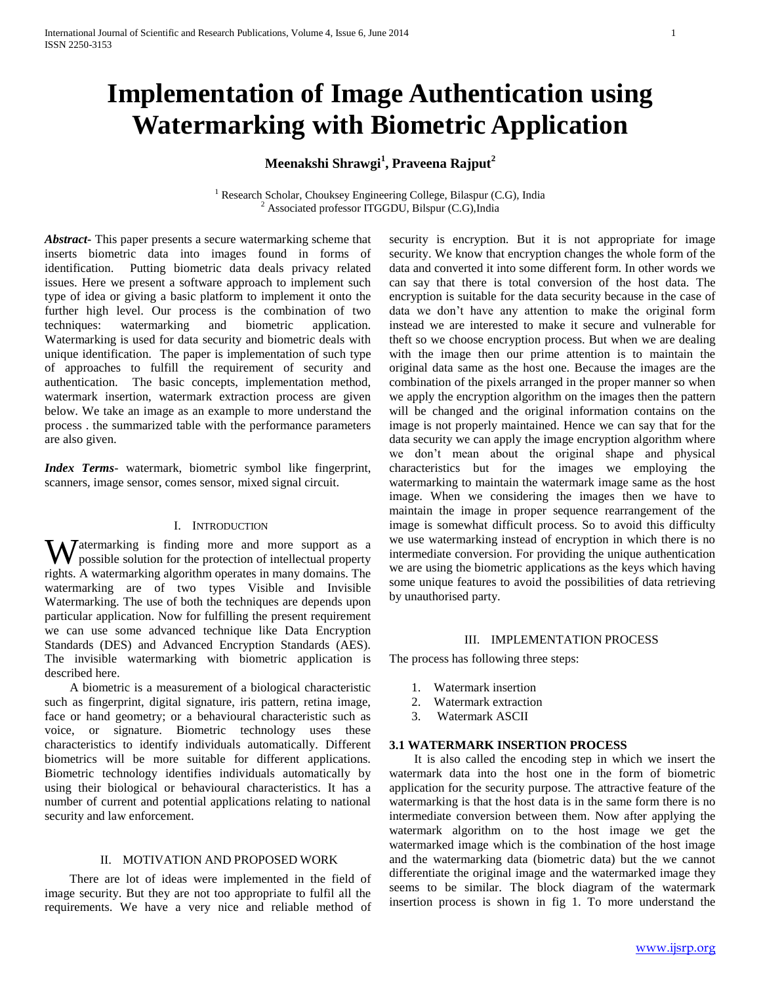# **Implementation of Image Authentication using Watermarking with Biometric Application**

## **Meenakshi Shrawgi<sup>1</sup> , Praveena Rajput<sup>2</sup>**

 $1$  Research Scholar, Chouksey Engineering College, Bilaspur (C.G), India  $2$  Associated professor ITGGDU, Bilspur (C.G), India

*Abstract***-** This paper presents a secure watermarking scheme that inserts biometric data into images found in forms of identification. Putting biometric data deals privacy related issues. Here we present a software approach to implement such type of idea or giving a basic platform to implement it onto the further high level. Our process is the combination of two techniques: watermarking and biometric application. Watermarking is used for data security and biometric deals with unique identification. The paper is implementation of such type of approaches to fulfill the requirement of security and authentication. The basic concepts, implementation method, watermark insertion, watermark extraction process are given below. We take an image as an example to more understand the process . the summarized table with the performance parameters are also given.

*Index Terms*- watermark, biometric symbol like fingerprint, scanners, image sensor, comes sensor, mixed signal circuit.

#### I. INTRODUCTION

**W** atermarking is finding more and more support as a possible solution for the protection of intellectual property possible solution for the protection of intellectual property rights. A watermarking algorithm operates in many domains. The watermarking are of two types Visible and Invisible Watermarking. The use of both the techniques are depends upon particular application. Now for fulfilling the present requirement we can use some advanced technique like Data Encryption Standards (DES) and Advanced Encryption Standards (AES). The invisible watermarking with biometric application is described here.

 A biometric is a measurement of a biological characteristic such as fingerprint, digital signature, iris pattern, retina image, face or hand geometry; or a behavioural characteristic such as voice, or signature. Biometric technology uses these characteristics to identify individuals automatically. Different biometrics will be more suitable for different applications. Biometric technology identifies individuals automatically by using their biological or behavioural characteristics. It has a number of current and potential applications relating to national security and law enforcement.

## II. MOTIVATION AND PROPOSED WORK

 There are lot of ideas were implemented in the field of image security. But they are not too appropriate to fulfil all the requirements. We have a very nice and reliable method of

security is encryption. But it is not appropriate for image security. We know that encryption changes the whole form of the data and converted it into some different form. In other words we can say that there is total conversion of the host data. The encryption is suitable for the data security because in the case of data we don't have any attention to make the original form instead we are interested to make it secure and vulnerable for theft so we choose encryption process. But when we are dealing with the image then our prime attention is to maintain the original data same as the host one. Because the images are the combination of the pixels arranged in the proper manner so when we apply the encryption algorithm on the images then the pattern will be changed and the original information contains on the image is not properly maintained. Hence we can say that for the data security we can apply the image encryption algorithm where we don't mean about the original shape and physical characteristics but for the images we employing the watermarking to maintain the watermark image same as the host image. When we considering the images then we have to maintain the image in proper sequence rearrangement of the image is somewhat difficult process. So to avoid this difficulty we use watermarking instead of encryption in which there is no intermediate conversion. For providing the unique authentication we are using the biometric applications as the keys which having some unique features to avoid the possibilities of data retrieving by unauthorised party.

#### III. IMPLEMENTATION PROCESS

The process has following three steps:

- 1. Watermark insertion
- 2. Watermark extraction
- 3. Watermark ASCII

## **3.1 WATERMARK INSERTION PROCESS**

 It is also called the encoding step in which we insert the watermark data into the host one in the form of biometric application for the security purpose. The attractive feature of the watermarking is that the host data is in the same form there is no intermediate conversion between them. Now after applying the watermark algorithm on to the host image we get the watermarked image which is the combination of the host image and the watermarking data (biometric data) but the we cannot differentiate the original image and the watermarked image they seems to be similar. The block diagram of the watermark insertion process is shown in fig 1. To more understand the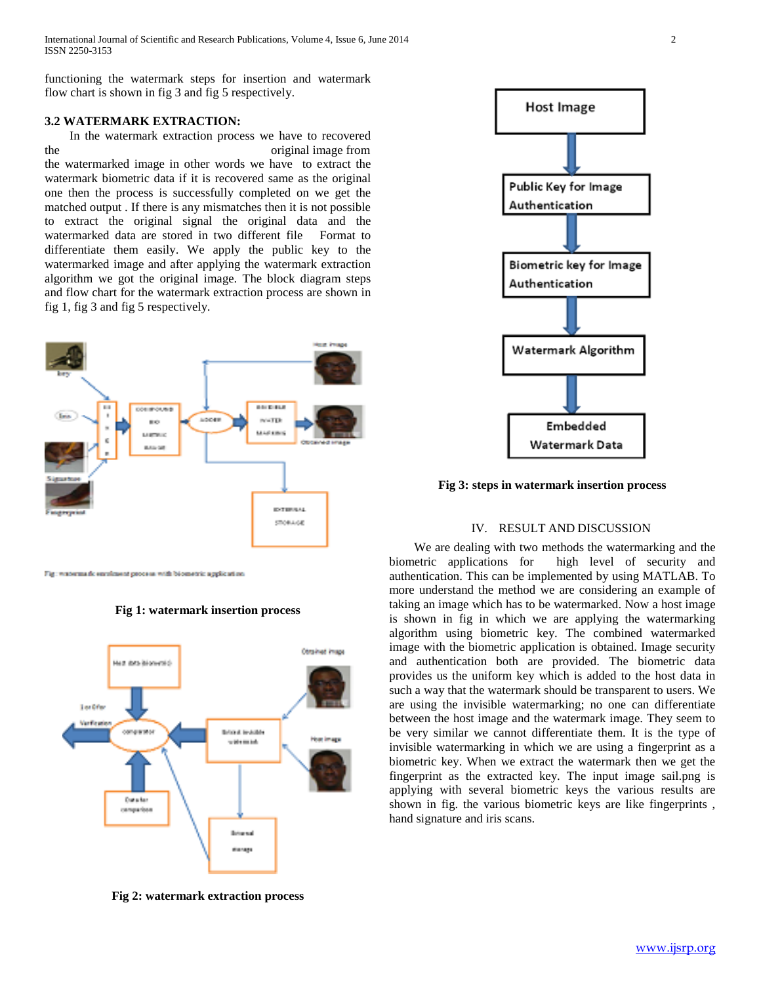International Journal of Scientific and Research Publications, Volume 4, Issue 6, June 2014 2 ISSN 2250-3153

functioning the watermark steps for insertion and watermark flow chart is shown in fig 3 and fig 5 respectively.

## **3.2 WATERMARK EXTRACTION:**

 In the watermark extraction process we have to recovered the original image from the watermarked image in other words we have to extract the watermark biometric data if it is recovered same as the original one then the process is successfully completed on we get the matched output . If there is any mismatches then it is not possible to extract the original signal the original data and the watermarked data are stored in two different file Format to differentiate them easily. We apply the public key to the watermarked image and after applying the watermark extraction algorithm we got the original image. The block diagram steps and flow chart for the watermark extraction process are shown in fig 1, fig 3 and fig 5 respectively.



Fig. watermark envelopent process with biometric application.



**Fig 1: watermark insertion process**

**Fig 2: watermark extraction process**



**Fig 3: steps in watermark insertion process**

#### IV. RESULT AND DISCUSSION

 We are dealing with two methods the watermarking and the biometric applications for high level of security and authentication. This can be implemented by using MATLAB. To more understand the method we are considering an example of taking an image which has to be watermarked. Now a host image is shown in fig in which we are applying the watermarking algorithm using biometric key. The combined watermarked image with the biometric application is obtained. Image security and authentication both are provided. The biometric data provides us the uniform key which is added to the host data in such a way that the watermark should be transparent to users. We are using the invisible watermarking; no one can differentiate between the host image and the watermark image. They seem to be very similar we cannot differentiate them. It is the type of invisible watermarking in which we are using a fingerprint as a biometric key. When we extract the watermark then we get the fingerprint as the extracted key. The input image sail.png is applying with several biometric keys the various results are shown in fig. the various biometric keys are like fingerprints , hand signature and iris scans.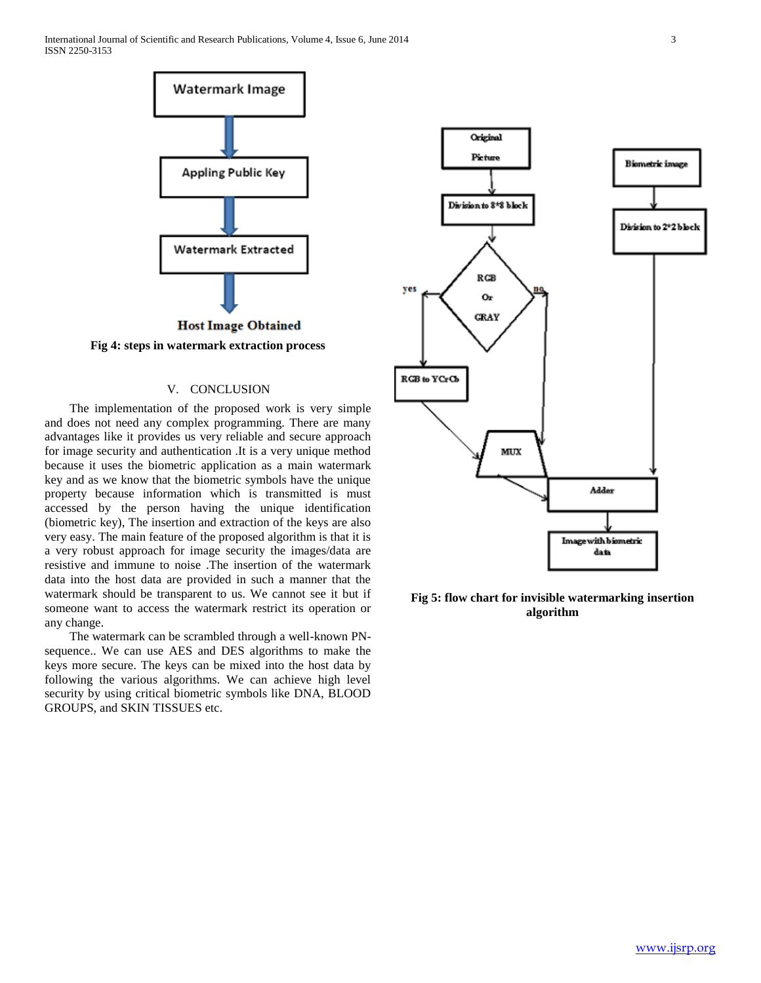International Journal of Scientific and Research Publications, Volume 4, Issue 6, June 2014 3 ISSN 2250-3153



**Fig 4: steps in watermark extraction process**

## V. CONCLUSION

 The implementation of the proposed work is very simple and does not need any complex programming. There are many advantages like it provides us very reliable and secure approach for image security and authentication .It is a very unique method because it uses the biometric application as a main watermark key and as we know that the biometric symbols have the unique property because information which is transmitted is must accessed by the person having the unique identification (biometric key), The insertion and extraction of the keys are also very easy. The main feature of the proposed algorithm is that it is a very robust approach for image security the images/data are resistive and immune to noise .The insertion of the watermark data into the host data are provided in such a manner that the watermark should be transparent to us. We cannot see it but if someone want to access the watermark restrict its operation or any change.

 The watermark can be scrambled through a well-known PNsequence.. We can use AES and DES algorithms to make the keys more secure. The keys can be mixed into the host data by following the various algorithms. We can achieve high level security by using critical biometric symbols like DNA, BLOOD GROUPS, and SKIN TISSUES etc.



**Fig 5: flow chart for invisible watermarking insertion algorithm**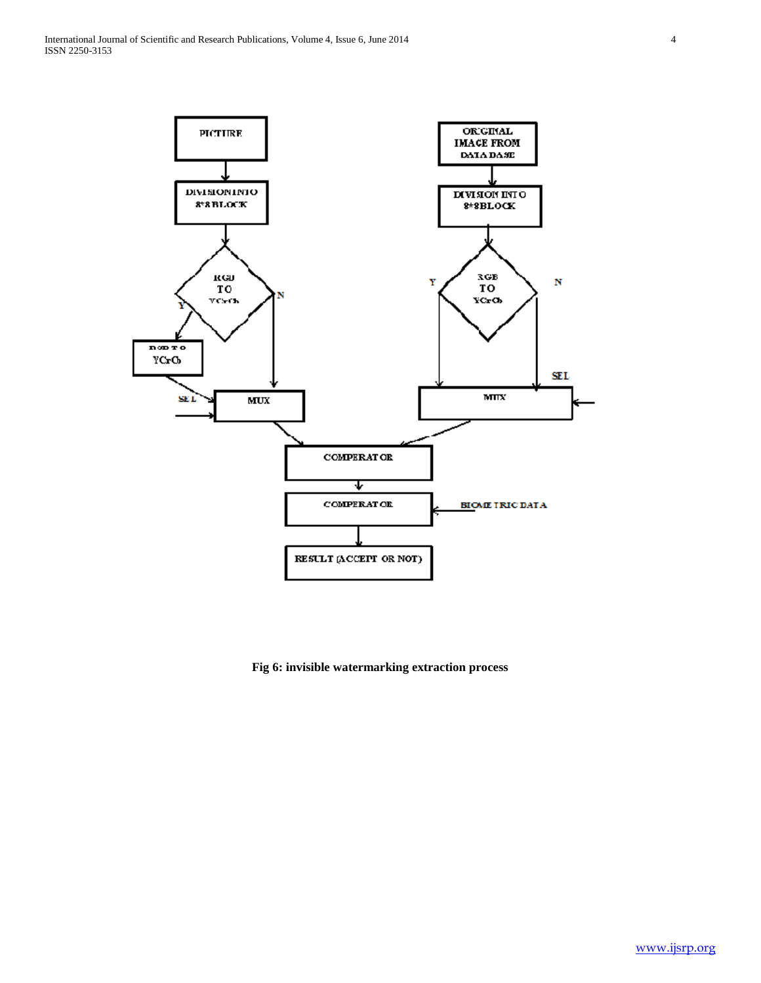

**Fig 6: invisible watermarking extraction process**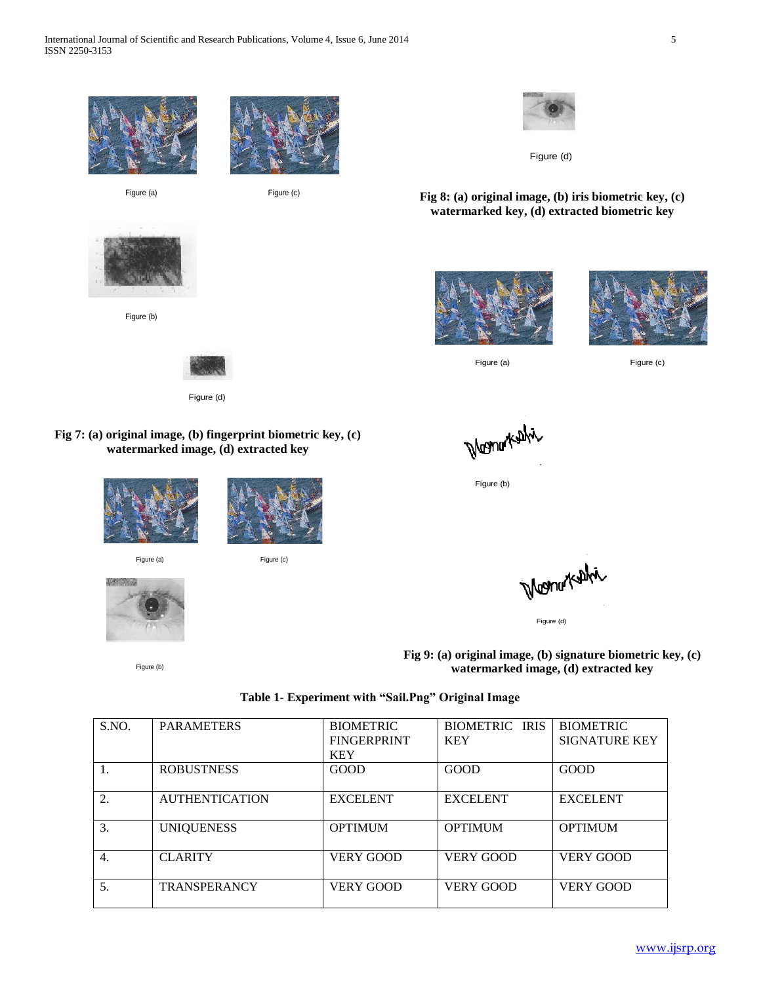

**Fig 7: (a) original image, (b) fingerprint biometric key, (c) watermarked image, (d) extracted key**





Figure (a) Figure (c)



Figure (b)

Monu Kahi

Figure (b)

Figure (d)

**Fig 9: (a) original image, (b) signature biometric key, (c) watermarked image, (d) extracted key**

| Table 1- Experiment with "Sail.Png" Original Image |  |  |  |
|----------------------------------------------------|--|--|--|
|----------------------------------------------------|--|--|--|

| S.NO.            | <b>PARAMETERS</b>     | <b>BIOMETRIC</b><br><b>FINGERPRINT</b> | <b>BIOMETRIC IRIS</b><br><b>KEY</b> | <b>BIOMETRIC</b><br><b>SIGNATURE KEY</b> |
|------------------|-----------------------|----------------------------------------|-------------------------------------|------------------------------------------|
|                  |                       | <b>KEY</b>                             |                                     |                                          |
|                  | <b>ROBUSTNESS</b>     | <b>GOOD</b>                            | GOOD                                | GOOD                                     |
| 2.               | <b>AUTHENTICATION</b> | <b>EXCELENT</b>                        | <b>EXCELENT</b>                     | <b>EXCELENT</b>                          |
| 3.               | <b>UNIQUENESS</b>     | <b>OPTIMUM</b>                         | <b>OPTIMUM</b>                      | <b>OPTIMUM</b>                           |
| $\overline{4}$ . | <b>CLARITY</b>        | <b>VERY GOOD</b>                       | <b>VERY GOOD</b>                    | <b>VERY GOOD</b>                         |
| 5.               | <b>TRANSPERANCY</b>   | <b>VERY GOOD</b>                       | <b>VERY GOOD</b>                    | <b>VERY GOOD</b>                         |



**Fig 8: (a) original image, (b) iris biometric key, (c) watermarked key, (d) extracted biometric key**





Figure (a) Figure (c)